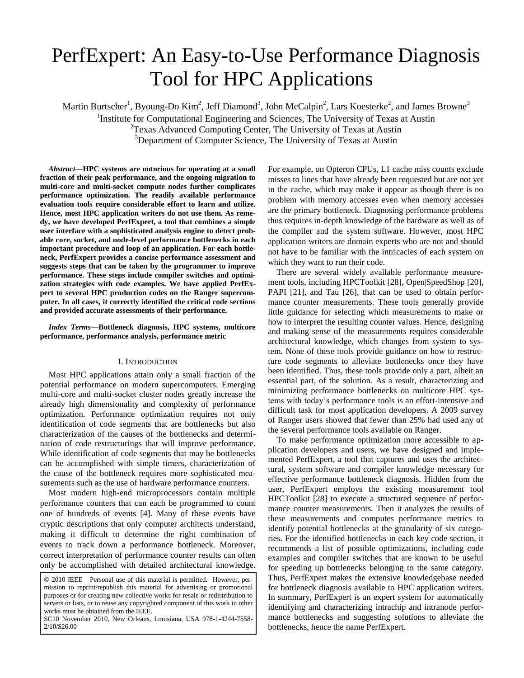# PerfExpert: An Easy-to-Use Performance Diagnosis Tool for HPC Applications

Martin Burtscher<sup>1</sup>, Byoung-Do Kim<sup>2</sup>, Jeff Diamond<sup>3</sup>, John McCalpin<sup>2</sup>, Lars Koesterke<sup>2</sup>, and James Browne<sup>3</sup>

<sup>1</sup>Institute for Computational Engineering and Sciences, The University of Texas at Austin

 $2$ Texas Advanced Computing Center, The University of Texas at Austin

<sup>3</sup>Department of Computer Science, The University of Texas at Austin

*Abstract***—HPC systems are notorious for operating at a small fraction of their peak performance, and the ongoing migration to multi-core and multi-socket compute nodes further complicates performance optimization. The readily available performance evaluation tools require considerable effort to learn and utilize. Hence, most HPC application writers do not use them. As remedy, we have developed PerfExpert, a tool that combines a simple user interface with a sophisticated analysis engine to detect probable core, socket, and node-level performance bottlenecks in each important procedure and loop of an application. For each bottleneck, PerfExpert provides a concise performance assessment and suggests steps that can be taken by the programmer to improve performance. These steps include compiler switches and optimization strategies with code examples. We have applied PerfExpert to several HPC production codes on the Ranger supercomputer. In all cases, it correctly identified the critical code sections and provided accurate assessments of their performance.**

*Index Terms***—Bottleneck diagnosis, HPC systems, multicore performance, performance analysis, performance metric**

#### I. INTRODUCTION

Most HPC applications attain only a small fraction of the potential performance on modern supercomputers. Emerging multi-core and multi-socket cluster nodes greatly increase the already high dimensionality and complexity of performance optimization. Performance optimization requires not only identification of code segments that are bottlenecks but also characterization of the causes of the bottlenecks and determination of code restructurings that will improve performance. While identification of code segments that may be bottlenecks can be accomplished with simple timers, characterization of the cause of the bottleneck requires more sophisticated measurements such as the use of hardware performance counters.

Most modern high-end microprocessors contain multiple performance counters that can each be programmed to count one of hundreds of events [\[4\].](#page-10-0) Many of these events have cryptic descriptions that only computer architects understand, making it difficult to determine the right combination of events to track down a performance bottleneck. Moreover, correct interpretation of performance counter results can often only be accomplished with detailed architectural knowledge.

SC10 November 2010, New Orleans, Louisiana, USA 978-1-4244-7558- 2/10/\$26.00

For example, on Opteron CPUs, L1 cache miss counts exclude misses to lines that have already been requested but are not yet in the cache, which may make it appear as though there is no problem with memory accesses even when memory accesses are the primary bottleneck. Diagnosing performance problems thus requires in-depth knowledge of the hardware as well as of the compiler and the system software. However, most HPC application writers are domain experts who are not and should not have to be familiar with the intricacies of each system on which they want to run their code.

There are several widely available performance measurement tools, including HPCToolkit [\[28\],](#page-10-1) Open|SpeedShop [\[20\],](#page-10-2) PAPI [\[21\],](#page-10-3) and Tau [\[26\],](#page-10-4) that can be used to obtain performance counter measurements. These tools generally provide little guidance for selecting which measurements to make or how to interpret the resulting counter values. Hence, designing and making sense of the measurements requires considerable architectural knowledge, which changes from system to system. None of these tools provide guidance on how to restructure code segments to alleviate bottlenecks once they have been identified. Thus, these tools provide only a part, albeit an essential part, of the solution. As a result, characterizing and minimizing performance bottlenecks on multicore HPC systems with today's performance tools is an effort-intensive and difficult task for most application developers. A 2009 survey of Ranger users showed that fewer than 25% had used any of the several performance tools available on Ranger.

To make performance optimization more accessible to application developers and users, we have designed and implemented PerfExpert, a tool that captures and uses the architectural, system software and compiler knowledge necessary for effective performance bottleneck diagnosis. Hidden from the user, PerfExpert employs the existing measurement tool HPCToolkit [\[28\]](#page-10-1) to execute a structured sequence of performance counter measurements. Then it analyzes the results of these measurements and computes performance metrics to identify potential bottlenecks at the granularity of six categories. For the identified bottlenecks in each key code section, it recommends a list of possible optimizations, including code examples and compiler switches that are known to be useful for speeding up bottlenecks belonging to the same category. Thus, PerfExpert makes the extensive knowledgebase needed for bottleneck diagnosis available to HPC application writers. In summary, PerfExpert is an expert system for automatically identifying and characterizing intrachip and intranode performance bottlenecks and suggesting solutions to alleviate the bottlenecks, hence the name PerfExpert.

<sup>© 2010</sup> IEEE Personal use of this material is permitted. However, permission to reprint/republish this material for advertising or promotional purposes or for creating new collective works for resale or redistribution to servers or lists, or to reuse any copyrighted component of this work in other works must be obtained from the IEEE.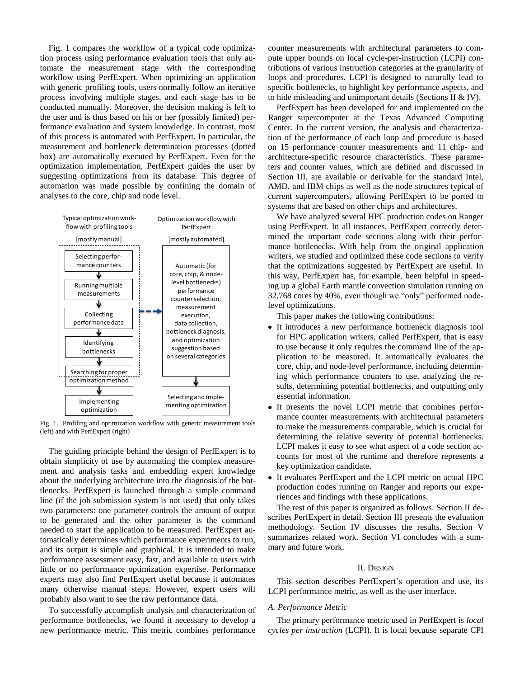[Fig.](#page-1-0) 1 compares the workflow of a typical code optimization process using performance evaluation tools that only automate the measurement stage with the corresponding workflow using PerfExpert. When optimizing an application with generic profiling tools, users normally follow an iterative process involving multiple stages, and each stage has to be conducted manually. Moreover, the decision making is left to the user and is thus based on his or her (possibly limited) performance evaluation and system knowledge. In contrast, most of this process is automated with PerfExpert. In particular, the measurement and bottleneck determination processes (dotted box) are automatically executed by PerfExpert. Even for the optimization implementation, PerfExpert guides the user by suggesting optimizations from its database. This degree of automation was made possible by confining the domain of analyses to the core, chip and node level.



<span id="page-1-0"></span>Fig. 1. Profiling and optimization workflow with generic measurement tools (left) and with PerfExpert (right)

The guiding principle behind the design of PerfExpert is to obtain simplicity of use by automating the complex measurement and analysis tasks and embedding expert knowledge about the underlying architecture into the diagnosis of the bottlenecks. PerfExpert is launched through a simple command line (if the job submission system is not used) that only takes two parameters: one parameter controls the amount of output to be generated and the other parameter is the command needed to start the application to be measured. PerfExpert automatically determines which performance experiments to run, and its output is simple and graphical. It is intended to make performance assessment easy, fast, and available to users with little or no performance optimization expertise. Performance experts may also find PerfExpert useful because it automates many otherwise manual steps. However, expert users will probably also want to see the raw performance data.

To successfully accomplish analysis and characterization of performance bottlenecks, we found it necessary to develop a new performance metric. This metric combines performance

counter measurements with architectural parameters to compute upper bounds on local cycle-per-instruction (LCPI) contributions of various instruction categories at the granularity of loops and procedures. LCPI is designed to naturally lead to specific bottlenecks, to highlight key performance aspects, and to hide misleading and unimportant details (Sections [II](#page-1-1) & [IV\)](#page-6-0).

PerfExpert has been developed for and implemented on the Ranger supercomputer at the Texas Advanced Computing Center. In the current version, the analysis and characterization of the performance of each loop and procedure is based on 15 performance counter measurements and 11 chip- and architecture-specific resource characteristics. These parameters and counter values, which are defined and discussed in Section [III,](#page-5-0) are available or derivable for the standard Intel, AMD, and IBM chips as well as the node structures typical of current supercomputers, allowing PerfExpert to be ported to systems that are based on other chips and architectures.

We have analyzed several HPC production codes on Ranger using PerfExpert. In all instances, PerfExpert correctly determined the important code sections along with their performance bottlenecks. With help from the original application writers, we studied and optimized these code sections to verify that the optimizations suggested by PerfExpert are useful. In this way, PerfExpert has, for example, been helpful in speeding up a global Earth mantle convection simulation running on 32,768 cores by 40%, even though we "only" performed nodelevel optimizations.

This paper makes the following contributions:

- It introduces a new performance bottleneck diagnosis tool for HPC application writers, called PerfExpert, that is easy to use because it only requires the command line of the application to be measured. It automatically evaluates the core, chip, and node-level performance, including determining which performance counters to use, analyzing the results, determining potential bottlenecks, and outputting only essential information.
- It presents the novel LCPI metric that combines performance counter measurements with architectural parameters to make the measurements comparable, which is crucial for determining the relative severity of potential bottlenecks. LCPI makes it easy to see what aspect of a code section accounts for most of the runtime and therefore represents a key optimization candidate.
- It evaluates PerfExpert and the LCPI metric on actual HPC production codes running on Ranger and reports our experiences and findings with these applications.

The rest of this paper is organized as follows. Section [II](#page-1-1) describes PerfExpert in detail. Section [III](#page-5-0) presents the evaluation methodology. Section [IV](#page-6-0) discusses the results. Section [V](#page-8-0) summarizes related work. Section [VI](#page-9-0) concludes with a summary and future work.

#### II. DESIGN

<span id="page-1-1"></span>This section describes PerfExpert's operation and use, its LCPI performance metric, as well as the user interface.

#### *A. Performance Metric*

The primary performance metric used in PerfExpert is *local*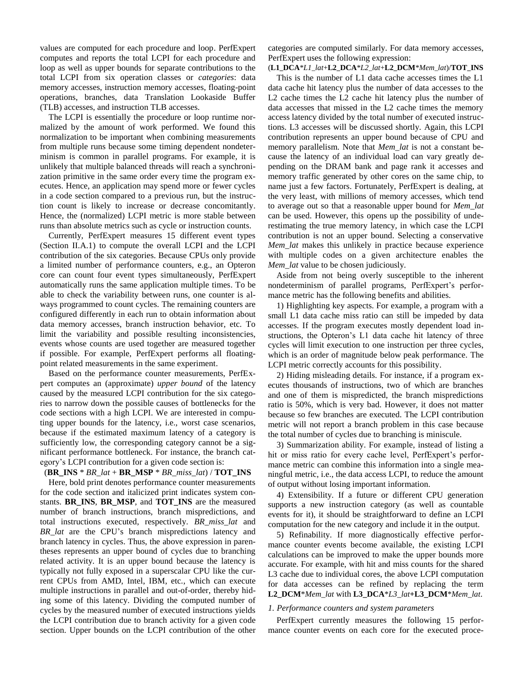values are computed for each procedure and loop. PerfExpert computes and reports the total LCPI for each procedure and loop as well as upper bounds for separate contributions to the total LCPI from six operation classes or *categories*: data memory accesses, instruction memory accesses, floating-point operations, branches, data Translation Lookaside Buffer (TLB) accesses, and instruction TLB accesses.

The LCPI is essentially the procedure or loop runtime normalized by the amount of work performed. We found this normalization to be important when combining measurements from multiple runs because some timing dependent nondeterminism is common in parallel programs. For example, it is unlikely that multiple balanced threads will reach a synchronization primitive in the same order every time the program executes. Hence, an application may spend more or fewer cycles in a code section compared to a previous run, but the instruction count is likely to increase or decrease concomitantly. Hence, the (normalized) LCPI metric is more stable between runs than absolute metrics such as cycle or instruction counts.

Currently, PerfExpert measures 15 different event types (Section [II.A.1\)](#page-2-0) to compute the overall LCPI and the LCPI contribution of the six categories. Because CPUs only provide a limited number of performance counters, e.g., an Opteron core can count four event types simultaneously, PerfExpert automatically runs the same application multiple times. To be able to check the variability between runs, one counter is always programmed to count cycles. The remaining counters are configured differently in each run to obtain information about data memory accesses, branch instruction behavior, etc. To limit the variability and possible resulting inconsistencies, events whose counts are used together are measured together if possible. For example, PerfExpert performs all floatingpoint related measurements in the same experiment.

Based on the performance counter measurements, PerfExpert computes an (approximate) *upper bound* of the latency caused by the measured LCPI contribution for the six categories to narrow down the possible causes of bottlenecks for the code sections with a high LCPI. We are interested in computing upper bounds for the latency, i.e., worst case scenarios, because if the estimated maximum latency of a category is sufficiently low, the corresponding category cannot be a significant performance bottleneck. For instance, the branch category's LCPI contribution for a given code section is:

# (**BR** INS<sup>\*</sup> *BR\_lat* + **BR** MSP<sup>\*</sup> *BR\_miss\_lat*) / **TOT\_INS**

Here, bold print denotes performance counter measurements for the code section and italicized print indicates system constants. **BR\_INS**, **BR\_MSP**, and **TOT\_INS** are the measured number of branch instructions, branch mispredictions, and total instructions executed, respectively. *BR\_miss\_lat* and *BR\_lat* are the CPU's branch mispredictions latency and branch latency in cycles. Thus, the above expression in parentheses represents an upper bound of cycles due to branching related activity. It is an upper bound because the latency is typically not fully exposed in a superscalar CPU like the current CPUs from AMD, Intel, IBM, etc., which can execute multiple instructions in parallel and out-of-order, thereby hiding some of this latency. Dividing the computed number of cycles by the measured number of executed instructions yields the LCPI contribution due to branch activity for a given code section. Upper bounds on the LCPI contribution of the other

categories are computed similarly. For data memory accesses, PerfExpert uses the following expression:

(**L1\_DCA**\**L1\_lat*+**L2\_DCA**\**L2\_lat*+**L2\_DCM**\**Mem\_lat*)/**TOT\_INS**

This is the number of L1 data cache accesses times the L1 data cache hit latency plus the number of data accesses to the L2 cache times the L2 cache hit latency plus the number of data accesses that missed in the L2 cache times the memory access latency divided by the total number of executed instructions. L3 accesses will be discussed shortly. Again, this LCPI contribution represents an upper bound because of CPU and memory parallelism. Note that *Mem\_lat* is not a constant because the latency of an individual load can vary greatly depending on the DRAM bank and page rank it accesses and memory traffic generated by other cores on the same chip, to name just a few factors. Fortunately, PerfExpert is dealing, at the very least, with millions of memory accesses, which tend to average out so that a reasonable upper bound for *Mem\_lat* can be used. However, this opens up the possibility of underestimating the true memory latency, in which case the LCPI contribution is not an upper bound. Selecting a conservative *Mem\_lat* makes this unlikely in practice because experience with multiple codes on a given architecture enables the *Mem\_lat* value to be chosen judiciously.

Aside from not being overly susceptible to the inherent nondeterminism of parallel programs, PerfExpert's performance metric has the following benefits and abilities.

1) Highlighting key aspects. For example, a program with a small L1 data cache miss ratio can still be impeded by data accesses. If the program executes mostly dependent load instructions, the Opteron's L1 data cache hit latency of three cycles will limit execution to one instruction per three cycles, which is an order of magnitude below peak performance. The LCPI metric correctly accounts for this possibility.

2) Hiding misleading details. For instance, if a program executes thousands of instructions, two of which are branches and one of them is mispredicted, the branch mispredictions ratio is 50%, which is very bad. However, it does not matter because so few branches are executed. The LCPI contribution metric will not report a branch problem in this case because the total number of cycles due to branching is miniscule.

3) Summarization ability. For example, instead of listing a hit or miss ratio for every cache level, PerfExpert's performance metric can combine this information into a single meaningful metric, i.e., the data access LCPI, to reduce the amount of output without losing important information.

4) Extensibility. If a future or different CPU generation supports a new instruction category (as well as countable events for it), it should be straightforward to define an LCPI computation for the new category and include it in the output.

5) Refinability. If more diagnostically effective performance counter events become available, the existing LCPI calculations can be improved to make the upper bounds more accurate. For example, with hit and miss counts for the shared L3 cache due to individual cores, the above LCPI computation for data accesses can be refined by replacing the term **L2\_DCM**\**Mem\_lat* with **L3\_DCA**\**L3\_lat***+L3\_DCM**\**Mem\_lat*.

# <span id="page-2-0"></span>*1. Performance counters and system parameters*

PerfExpert currently measures the following 15 performance counter events on each core for the executed proce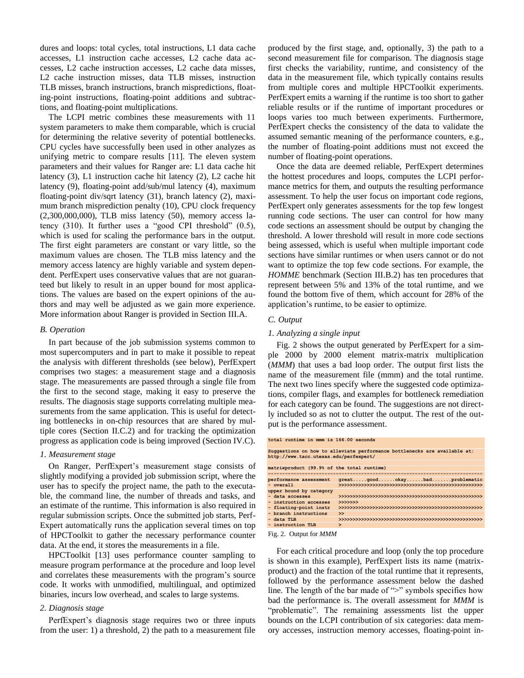dures and loops: total cycles, total instructions, L1 data cache accesses, L1 instruction cache accesses, L2 cache data accesses, L2 cache instruction accesses, L2 cache data misses, L2 cache instruction misses, data TLB misses, instruction TLB misses, branch instructions, branch mispredictions, floating-point instructions, floating-point additions and subtractions, and floating-point multiplications.

The LCPI metric combines these measurements with 11 system parameters to make them comparable, which is crucial for determining the relative severity of potential bottlenecks. CPU cycles have successfully been used in other analyzes as unifying metric to compare results [\[11\].](#page-10-5) The eleven system parameters and their values for Ranger are: L1 data cache hit latency (3), L1 instruction cache hit latency (2), L2 cache hit latency (9), floating-point add/sub/mul latency (4), maximum floating-point div/sqrt latency (31), branch latency (2), maximum branch misprediction penalty (10), CPU clock frequency (2,300,000,000), TLB miss latency (50), memory access latency (310). It further uses a "good CPI threshold" (0.5), which is used for scaling the performance bars in the output. The first eight parameters are constant or vary little, so the maximum values are chosen. The TLB miss latency and the memory access latency are highly variable and system dependent. PerfExpert uses conservative values that are not guaranteed but likely to result in an upper bound for most applications. The values are based on the expert opinions of the authors and may well be adjusted as we gain more experience. More information about Ranger is provided in Section [III.A.](#page-5-1)

## *B. Operation*

In part because of the job submission systems common to most supercomputers and in part to make it possible to repeat the analysis with different thresholds (see below), PerfExpert comprises two stages: a measurement stage and a diagnosis stage. The measurements are passed through a single file from the first to the second stage, making it easy to preserve the results. The diagnosis stage supports correlating multiple measurements from the same application. This is useful for detecting bottlenecks in on-chip resources that are shared by multiple cores (Section [II.C.2\)](#page-4-0) and for tracking the optimization progress as application code is being improved (Section [IV.C\)](#page-7-0).

#### *1. Measurement stage*

On Ranger, PerfExpert's measurement stage consists of slightly modifying a provided job submission script, where the user has to specify the project name, the path to the executable, the command line, the number of threads and tasks, and an estimate of the runtime. This information is also required in regular submission scripts. Once the submitted job starts, Perf-Expert automatically runs the application several times on top of HPCToolkit to gather the necessary performance counter data. At the end, it stores the measurements in a file.

HPCToolkit [\[13\]](#page-10-6) uses performance counter sampling to measure program performance at the procedure and loop level and correlates these measurements with the program's source code. It works with unmodified, multilingual, and optimized binaries, incurs low overhead, and scales to large systems.

# *2. Diagnosis stage*

PerfExpert's diagnosis stage requires two or three inputs from the user: 1) a threshold, 2) the path to a measurement file

produced by the first stage, and, optionally, 3) the path to a second measurement file for comparison. The diagnosis stage first checks the variability, runtime, and consistency of the data in the measurement file, which typically contains results from multiple cores and multiple HPCToolkit experiments. PerfExpert emits a warning if the runtime is too short to gather reliable results or if the runtime of important procedures or loops varies too much between experiments. Furthermore, PerfExpert checks the consistency of the data to validate the assumed semantic meaning of the performance counters, e.g., the number of floating-point additions must not exceed the number of floating-point operations.

Once the data are deemed reliable, PerfExpert determines the hottest procedures and loops, computes the LCPI performance metrics for them, and outputs the resulting performance assessment. To help the user focus on important code regions, PerfExpert only generates assessments for the top few longest running code sections. The user can control for how many code sections an assessment should be output by changing the threshold. A lower threshold will result in more code sections being assessed, which is useful when multiple important code sections have similar runtimes or when users cannot or do not want to optimize the top few code sections. For example, the *HOMME* benchmark (Section [III.B.2\)](#page-5-2) has ten procedures that represent between 5% and 13% of the total runtime, and we found the bottom five of them, which account for 28% of the application's runtime, to be easier to optimize.

## *C. Output*

## *1. Analyzing a single input*

[Fig.](#page-3-0) 2 shows the output generated by PerfExpert for a simple 2000 by 2000 element matrix-matrix multiplication (*MMM*) that uses a bad loop order. The output first lists the name of the measurement file (mmm) and the total runtime. The next two lines specify where the suggested code optimizations, compiler flags, and examples for bottleneck remediation for each category can be found. The suggestions are not directly included so as not to clutter the output. The rest of the output is the performance assessment.

| total runtime in mmm is 166.00 seconds     |                                                                           |  |
|--------------------------------------------|---------------------------------------------------------------------------|--|
|                                            | Suggestions on how to alleviate performance bottlenecks are available at: |  |
| http://www.tacc.utexas.edu/perfexpert/     |                                                                           |  |
|                                            |                                                                           |  |
|                                            |                                                                           |  |
| matrixproduct (99.9% of the total runtime) |                                                                           |  |
|                                            |                                                                           |  |
| performance assessment                     | greatgoodokaybadproblematic                                               |  |
| $ overall$                                 |                                                                           |  |
| upper bound by category                    |                                                                           |  |
| $-$ data accesses                          |                                                                           |  |
| - instruction accesses                     | >>>>>>>                                                                   |  |
| - floating-point instr                     |                                                                           |  |
| - branch instructions                      | $\rightarrow$                                                             |  |
| $-$ data TLB                               |                                                                           |  |
| $-$ instruction TLB                        | $\rightarrow$                                                             |  |
|                                            |                                                                           |  |

<span id="page-3-0"></span>Fig. 2. Output for *MMM*

For each critical procedure and loop (only the top procedure is shown in this example), PerfExpert lists its name (matrixproduct) and the fraction of the total runtime that it represents, followed by the performance assessment below the dashed line. The length of the bar made of ">" symbols specifies how bad the performance is. The overall assessment for *MMM* is "problematic". The remaining assessments list the upper bounds on the LCPI contribution of six categories: data memory accesses, instruction memory accesses, floating-point in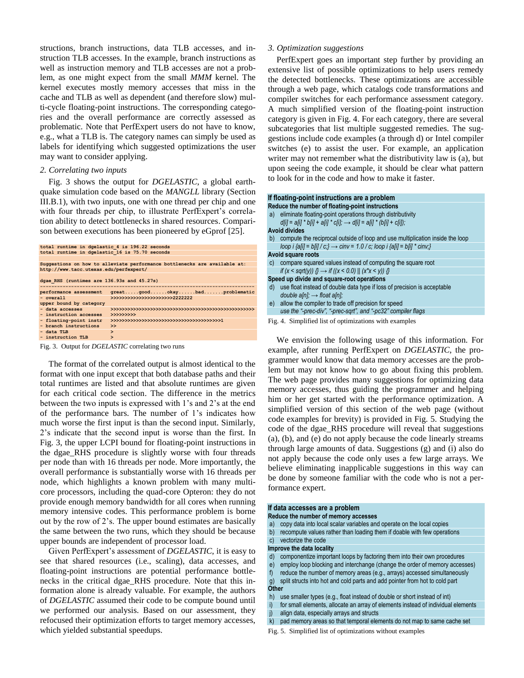structions, branch instructions, data TLB accesses, and instruction TLB accesses. In the example, branch instructions as well as instruction memory and TLB accesses are not a problem, as one might expect from the small *MMM* kernel. The kernel executes mostly memory accesses that miss in the cache and TLB as well as dependent (and therefore slow) multi-cycle floating-point instructions. The corresponding categories and the overall performance are correctly assessed as problematic. Note that PerfExpert users do not have to know, e.g., what a TLB is. The category names can simply be used as labels for identifying which suggested optimizations the user may want to consider applying.

# <span id="page-4-0"></span>*2. Correlating two inputs*

[Fig.](#page-4-1) 3 shows the output for *DGELASTIC*, a global earthquake simulation code based on the *MANGLL* library (Section [III.B.1\)](#page-5-3), with two inputs, one with one thread per chip and one with four threads per chip, to illustrate PerfExpert's correlation ability to detect bottlenecks in shared resources. Comparison between executions has been pioneered by eGpro[f \[25\].](#page-10-7)

| total runtime in dgelastic 4 is 196.22 seconds                            |                                 |  |
|---------------------------------------------------------------------------|---------------------------------|--|
| total runtime in dgelastic 16 is 75.70 seconds                            |                                 |  |
|                                                                           |                                 |  |
| Suggestions on how to alleviate performance bottlenecks are available at: |                                 |  |
| http://www.tacc.utexas.edu/perfexpert/                                    |                                 |  |
|                                                                           |                                 |  |
| dgae RHS (runtimes are 136.93s and 45.27s)                                |                                 |  |
|                                                                           |                                 |  |
| performance assessment                                                    | greatgoodokaybadproblematic     |  |
| $-$ overall                                                               | >>>>>>>>>>>>>>>>>>>>>>>>2222222 |  |
| upper bound by category                                                   |                                 |  |
| $-$ data accesses                                                         |                                 |  |
| - instruction accesses                                                    | >>>>>>>>>>                      |  |
| - floating-point instr                                                    |                                 |  |
| - branch instructions                                                     | $\rightarrow$                   |  |
| - data TLB                                                                | $\rightarrow$                   |  |
| $-$ instruction TLB                                                       | $\rightarrow$                   |  |
|                                                                           |                                 |  |

<span id="page-4-1"></span>Fig. 3. Output for *DGELASTIC* correlating two runs

The format of the correlated output is almost identical to the format with one input except that both database paths and their total runtimes are listed and that absolute runtimes are given for each critical code section. The difference in the metrics between the two inputs is expressed with 1's and 2's at the end of the performance bars. The number of 1's indicates how much worse the first input is than the second input. Similarly, 2's indicate that the second input is worse than the first. In [Fig.](#page-4-1) 3, the upper LCPI bound for floating-point instructions in the dgae\_RHS procedure is slightly worse with four threads per node than with 16 threads per node. More importantly, the overall performance is substantially worse with 16 threads per node, which highlights a known problem with many multicore processors, including the quad-core Opteron: they do not provide enough memory bandwidth for all cores when running memory intensive codes. This performance problem is borne out by the row of 2's. The upper bound estimates are basically the same between the two runs, which they should be because upper bounds are independent of processor load.

Given PerfExpert's assessment of *DGELASTIC*, it is easy to see that shared resources (i.e., scaling), data accesses, and floating-point instructions are potential performance bottlenecks in the critical dgae\_RHS procedure. Note that this information alone is already valuable. For example, the authors of *DGELASTIC* assumed their code to be compute bound until we performed our analysis. Based on our assessment, they refocused their optimization efforts to target memory accesses, which yielded substantial speedups.

#### <span id="page-4-4"></span>*3. Optimization suggestions*

PerfExpert goes an important step further by providing an extensive list of possible optimizations to help users remedy the detected bottlenecks. These optimizations are accessible through a web page, which catalogs code transformations and compiler switches for each performance assessment category. A much simplified version of the floating-point instruction category is given in [Fig.](#page-4-2) 4. For each category, there are several subcategories that list multiple suggested remedies. The suggestions include code examples (a through d) or Intel compiler switches (e) to assist the user. For example, an application writer may not remember what the distributivity law is (a), but upon seeing the code example, it should be clear what pattern to look for in the code and how to make it faster.

|                    | If floating-point instructions are a problem                                          |  |
|--------------------|---------------------------------------------------------------------------------------|--|
|                    | Reduce the number of floating-point instructions                                      |  |
|                    | a) eliminate floating-point operations through distributivity                         |  |
|                    | $d[i] = a[i] * b[i] + a[i] * c[i]; \rightarrow d[i] = a[i] * (b[i] + c[i]).$          |  |
|                    | Avoid divides                                                                         |  |
|                    | b) compute the reciprocal outside of loop and use multiplication inside the loop      |  |
|                    | loop i {a[i] = b[i] / c;} $\rightarrow$ cinv = 1.0 / c; loop i {a[i] = b[i] * cinv;}  |  |
| Avoid square roots |                                                                                       |  |
|                    | c) compare squared values instead of computing the square root                        |  |
|                    | if $(x < \text{sqrt}(y))$ $\beta \rightarrow$ if $((x < 0.0)$    $(x^*x < y)$ $\beta$ |  |
|                    | Speed up divide and square-root operations                                            |  |
| d)                 | use float instead of double data type if loss of precision is acceptable              |  |
|                    | double alni, $\rightarrow$ float alni,                                                |  |
|                    | e) allow the compiler to trade off precision for speed                                |  |
|                    | use the "-prec-div", "-prec-sart", and "-pc32" compiler flags                         |  |
|                    | Fig. 4. Simplified list of optimizations with examples                                |  |
|                    |                                                                                       |  |

<span id="page-4-2"></span>We envision the following usage of this information. For example, after running PerfExpert on *DGELASTIC*, the programmer would know that data memory accesses are the problem but may not know how to go about fixing this problem. The web page provides many suggestions for optimizing data memory accesses, thus guiding the programmer and helping him or her get started with the performance optimization. A simplified version of this section of the web page (without code examples for brevity) is provided in [Fig.](#page-4-3) 5. Studying the code of the dgae\_RHS procedure will reveal that suggestions (a), (b), and (e) do not apply because the code linearly streams through large amounts of data. Suggestions (g) and (i) also do not apply because the code only uses a few large arrays. We believe eliminating inapplicable suggestions in this way can be done by someone familiar with the code who is not a performance expert.

#### **If data accesses are a problem**

**Reduce the number of memory accesses**

- a) copy data into local scalar variables and operate on the local copies
- b) recompute values rather than loading them if doable with few operations c) vectorize the code

# **Improve the data locality**

- d) componentize important loops by factoring them into their own procedures
- e) employ loop blocking and interchange (change the order of memory accesses)
- f) reduce the number of memory areas (e.g., arrays) accessed simultaneously
- g) split structs into hot and cold parts and add pointer from hot to cold part **Other**
- h) use smaller types (e.g., float instead of double or short instead of int)
- i) for small elements, allocate an array of elements instead of individual elements align data, especially arrays and structs
- k) pad memory areas so that temporal elements do not map to same cache set
- <span id="page-4-3"></span>Fig. 5. Simplified list of optimizations without examples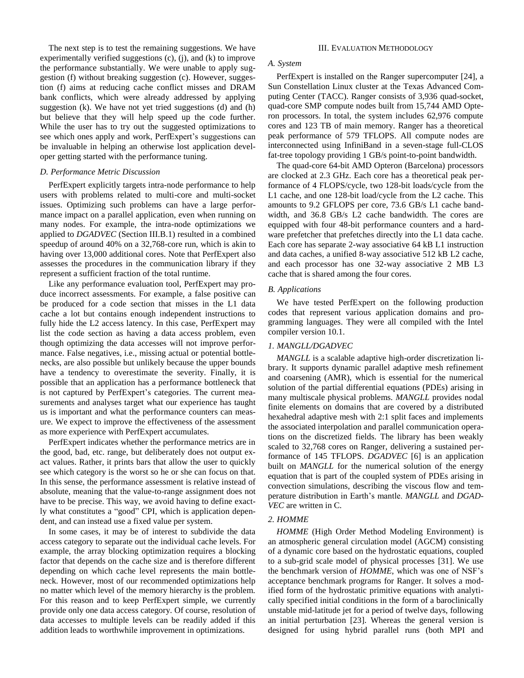The next step is to test the remaining suggestions. We have experimentally verified suggestions (c), (j), and (k) to improve the performance substantially. We were unable to apply suggestion (f) without breaking suggestion (c). However, suggestion (f) aims at reducing cache conflict misses and DRAM bank conflicts, which were already addressed by applying suggestion (k). We have not yet tried suggestions (d) and (h) but believe that they will help speed up the code further. While the user has to try out the suggested optimizations to see which ones apply and work, PerfExpert's suggestions can be invaluable in helping an otherwise lost application developer getting started with the performance tuning.

# *D. Performance Metric Discussion*

PerfExpert explicitly targets intra-node performance to help users with problems related to multi-core and multi-socket issues. Optimizing such problems can have a large performance impact on a parallel application, even when running on many nodes. For example, the intra-node optimizations we applied to *DGADVEC* (Sectio[n III.B.1\)](#page-5-3) resulted in a combined speedup of around 40% on a 32,768-core run, which is akin to having over 13,000 additional cores. Note that PerfExpert also assesses the procedures in the communication library if they represent a sufficient fraction of the total runtime.

Like any performance evaluation tool, PerfExpert may produce incorrect assessments. For example, a false positive can be produced for a code section that misses in the L1 data cache a lot but contains enough independent instructions to fully hide the L2 access latency. In this case, PerfExpert may list the code section as having a data access problem, even though optimizing the data accesses will not improve performance. False negatives, i.e., missing actual or potential bottlenecks, are also possible but unlikely because the upper bounds have a tendency to overestimate the severity. Finally, it is possible that an application has a performance bottleneck that is not captured by PerfExpert's categories. The current measurements and analyses target what our experience has taught us is important and what the performance counters can measure. We expect to improve the effectiveness of the assessment as more experience with PerfExpert accumulates.

PerfExpert indicates whether the performance metrics are in the good, bad, etc. range, but deliberately does not output exact values. Rather, it prints bars that allow the user to quickly see which category is the worst so he or she can focus on that. In this sense, the performance assessment is relative instead of absolute, meaning that the value-to-range assignment does not have to be precise. This way, we avoid having to define exactly what constitutes a "good" CPI, which is application dependent, and can instead use a fixed value per system.

In some cases, it may be of interest to subdivide the data access category to separate out the individual cache levels. For example, the array blocking optimization requires a blocking factor that depends on the cache size and is therefore different depending on which cache level represents the main bottleneck. However, most of our recommended optimizations help no matter which level of the memory hierarchy is the problem. For this reason and to keep PerfExpert simple, we currently provide only one data access category. Of course, resolution of data accesses to multiple levels can be readily added if this addition leads to worthwhile improvement in optimizations.

## III. EVALUATION METHODOLOGY

#### <span id="page-5-1"></span><span id="page-5-0"></span>*A. System*

PerfExpert is installed on the Ranger supercomputer [\[24\],](#page-10-8) a Sun Constellation Linux cluster at the Texas Advanced Computing Center (TACC). Ranger consists of 3,936 quad-socket, quad-core SMP compute nodes built from 15,744 AMD Opteron processors. In total, the system includes 62,976 compute cores and 123 TB of main memory. Ranger has a theoretical peak performance of 579 TFLOPS. All compute nodes are interconnected using InfiniBand in a seven-stage full-CLOS fat-tree topology providing 1 GB/s point-to-point bandwidth.

The quad-core 64-bit AMD Opteron (Barcelona) processors are clocked at 2.3 GHz. Each core has a theoretical peak performance of 4 FLOPS/cycle, two 128-bit loads/cycle from the L1 cache, and one 128-bit load/cycle from the L2 cache. This amounts to 9.2 GFLOPS per core, 73.6 GB/s L1 cache bandwidth, and 36.8 GB/s L2 cache bandwidth. The cores are equipped with four 48-bit performance counters and a hardware prefetcher that prefetches directly into the L1 data cache. Each core has separate 2-way associative 64 kB L1 instruction and data caches, a unified 8-way associative 512 kB L2 cache, and each processor has one 32-way associative 2 MB L3 cache that is shared among the four cores.

#### *B. Applications*

We have tested PerfExpert on the following production codes that represent various application domains and programming languages. They were all compiled with the Intel compiler version 10.1.

# <span id="page-5-3"></span>*1. MANGLL/DGADVEC*

*MANGLL* is a scalable adaptive high-order discretization library. It supports dynamic parallel adaptive mesh refinement and coarsening (AMR), which is essential for the numerical solution of the partial differential equations (PDEs) arising in many multiscale physical problems. *MANGLL* provides nodal finite elements on domains that are covered by a distributed hexahedral adaptive mesh with 2:1 split faces and implements the associated interpolation and parallel communication operations on the discretized fields. The library has been weakly scaled to 32,768 cores on Ranger, delivering a sustained performance of 145 TFLOPS. *DGADVEC* [\[6\]](#page-10-9) is an application built on *MANGLL* for the numerical solution of the energy equation that is part of the coupled system of PDEs arising in convection simulations, describing the viscous flow and temperature distribution in Earth's mantle. *MANGLL* and *DGAD-VEC* are written in C.

#### <span id="page-5-2"></span>*2. HOMME*

*HOMME* (High Order Method Modeling Environment) is an atmospheric general circulation model (AGCM) consisting of a dynamic core based on the hydrostatic equations, coupled to a sub-grid scale model of physical processes [\[31\].](#page-10-10) We use the benchmark version of *HOMME*, which was one of NSF's acceptance benchmark programs for Ranger. It solves a modified form of the hydrostatic primitive equations with analytically specified initial conditions in the form of a baroclinically unstable mid-latitude jet for a period of twelve days, following an initial perturbation [\[23\].](#page-10-11) Whereas the general version is designed for using hybrid parallel runs (both MPI and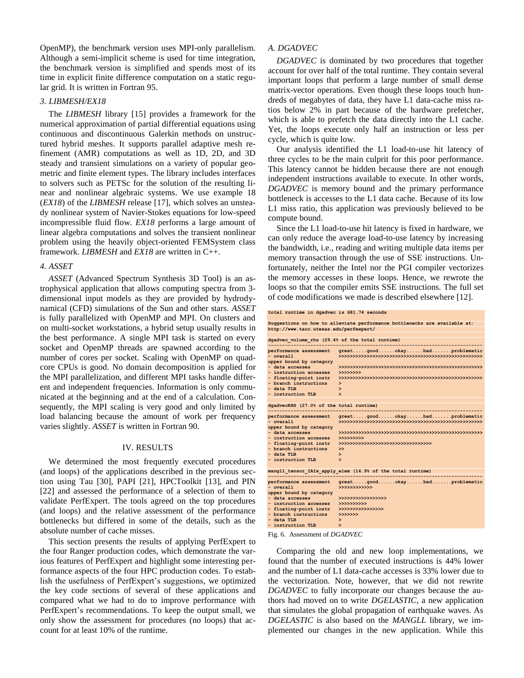OpenMP), the benchmark version uses MPI-only parallelism. Although a semi-implicit scheme is used for time integration, the benchmark version is simplified and spends most of its time in explicit finite difference computation on a static regular grid. It is written in Fortran 95.

# *3. LIBMESH/EX18*

The *LIBMESH* library [\[15\]](#page-10-12) provides a framework for the numerical approximation of partial differential equations using continuous and discontinuous Galerkin methods on unstructured hybrid meshes. It supports parallel adaptive mesh refinement (AMR) computations as well as 1D, 2D, and 3D steady and transient simulations on a variety of popular geometric and finite element types. The library includes interfaces to solvers such as PETSc for the solution of the resulting linear and nonlinear algebraic systems. We use example 18 (*EX18*) of the *LIBMESH* release [\[17\],](#page-10-13) which solves an unsteady nonlinear system of Navier-Stokes equations for low-speed incompressible fluid flow. *EX18* performs a large amount of linear algebra computations and solves the transient nonlinear problem using the heavily object-oriented FEMSystem class framework. *LIBMESH* and *EX18* are written in C++.

#### *4. ASSET*

*ASSET* (Advanced Spectrum Synthesis 3D Tool) is an astrophysical application that allows computing spectra from 3 dimensional input models as they are provided by hydrodynamical (CFD) simulations of the Sun and other stars. *ASSET* is fully parallelized with OpenMP and MPI. On clusters and on multi-socket workstations, a hybrid setup usually results in the best performance. A single MPI task is started on every socket and OpenMP threads are spawned according to the number of cores per socket. Scaling with OpenMP on quadcore CPUs is good. No domain decomposition is applied for the MPI parallelization, and different MPI tasks handle different and independent frequencies. Information is only communicated at the beginning and at the end of a calculation. Consequently, the MPI scaling is very good and only limited by load balancing because the amount of work per frequency varies slightly. *ASSET* is written in Fortran 90.

#### IV. RESULTS

<span id="page-6-0"></span>We determined the most frequently executed procedures (and loops) of the applications described in the previous section using Tau [\[30\],](#page-10-14) PAPI [\[21\],](#page-10-3) HPCToolkit [\[13\],](#page-10-6) and PIN [\[22\]](#page-10-15) and assessed the performance of a selection of them to validate PerfExpert. The tools agreed on the top procedures (and loops) and the relative assessment of the performance bottlenecks but differed in some of the details, such as the absolute number of cache misses.

This section presents the results of applying PerfExpert to the four Ranger production codes, which demonstrate the various features of PerfExpert and highlight some interesting performance aspects of the four HPC production codes. To establish the usefulness of PerfExpert's suggestions, we optimized the key code sections of several of these applications and compared what we had to do to improve performance with PerfExpert's recommendations. To keep the output small, we only show the assessment for procedures (no loops) that account for at least 10% of the runtime.

# *A. DGADVEC*

*DGADVEC* is dominated by two procedures that together account for over half of the total runtime. They contain several important loops that perform a large number of small dense matrix-vector operations. Even though these loops touch hundreds of megabytes of data, they have L1 data-cache miss ratios below 2% in part because of the hardware prefetcher, which is able to prefetch the data directly into the L1 cache. Yet, the loops execute only half an instruction or less per cycle, which is quite low.

Our analysis identified the L1 load-to-use hit latency of three cycles to be the main culprit for this poor performance. This latency cannot be hidden because there are not enough independent instructions available to execute. In other words, *DGADVEC* is memory bound and the primary performance bottleneck is accesses to the L1 data cache. Because of its low L1 miss ratio, this application was previously believed to be compute bound.

Since the L1 load-to-use hit latency is fixed in hardware, we can only reduce the average load-to-use latency by increasing the bandwidth, i.e., reading and writing multiple data items per memory transaction through the use of SSE instructions. Unfortunately, neither the Intel nor the PGI compiler vectorizes the memory accesses in these loops. Hence, we rewrote the loops so that the compiler emits SSE instructions. The full set of code modifications we made is described elsewher[e \[12\].](#page-10-16)

**total runtime in dgadvec is 681.74 seconds**

| Suggestions on how to alleviate performance bottlenecks are available at:<br>http://www.tacc.utexas.edu/perfexpert/ |                                                            |  |  |  |
|---------------------------------------------------------------------------------------------------------------------|------------------------------------------------------------|--|--|--|
| dgadvec volume rhs (29.4% of the total runtime)                                                                     |                                                            |  |  |  |
| performance assessment<br>- overall                                                                                 | greatgoodokaybadproblematic                                |  |  |  |
| upper bound by category                                                                                             |                                                            |  |  |  |
| - data accesses                                                                                                     |                                                            |  |  |  |
| - instruction accesses                                                                                              | >>>>>>>>>                                                  |  |  |  |
| - floating-point instr                                                                                              |                                                            |  |  |  |
| - branch instructions                                                                                               | ⋗                                                          |  |  |  |
| - data TLB                                                                                                          | ⋗                                                          |  |  |  |
| - instruction TLB                                                                                                   | ⋗                                                          |  |  |  |
| dgadvecRHS (27.0% of the total runtime)                                                                             |                                                            |  |  |  |
| performance assessment                                                                                              | greatgoodokaybadproblematic                                |  |  |  |
| - overall                                                                                                           |                                                            |  |  |  |
| upper bound by category                                                                                             |                                                            |  |  |  |
| - data accesses                                                                                                     |                                                            |  |  |  |
| - instruction accesses                                                                                              | >>>>>>>>>>                                                 |  |  |  |
| - floating-point instr                                                                                              | >>>>>>>>>>>>>>>>>>>>>>>>>>>>>>>>>                          |  |  |  |
| - branch instructions                                                                                               | ⋗⋗                                                         |  |  |  |
| - data TLB                                                                                                          | $\rightarrow$                                              |  |  |  |
| $-$ instruction TLB                                                                                                 | $\rightarrow$                                              |  |  |  |
|                                                                                                                     | mangll tensor IAIx apply elem (14.9% of the total runtime) |  |  |  |
| performance assessment                                                                                              | greatgoodokaybadproblematic                                |  |  |  |
| $ overa11$                                                                                                          | >>>>>>>>>>>>>                                              |  |  |  |
| upper bound by category                                                                                             |                                                            |  |  |  |
| $-$ data accesses                                                                                                   | >>>>>>>>>>>>>>>>>>>                                        |  |  |  |
| - instruction accesses                                                                                              | >>>>>>>>>>>                                                |  |  |  |
| - floating-point instr                                                                                              | >>>>>>>>>>>>>>>>>                                          |  |  |  |
| - branch instructions                                                                                               | > >> >> >> >                                               |  |  |  |
| $-$ data TLB                                                                                                        | $\rightarrow$                                              |  |  |  |
| - instruction TLB                                                                                                   | ⋗                                                          |  |  |  |
|                                                                                                                     |                                                            |  |  |  |

<span id="page-6-1"></span>Fig. 6. Assessment of *DGADVEC*

Comparing the old and new loop implementations, we found that the number of executed instructions is 44% lower and the number of L1 data-cache accesses is 33% lower due to the vectorization. Note, however, that we did not rewrite *DGADVEC* to fully incorporate our changes because the authors had moved on to write *DGELASTIC*, a new application that simulates the global propagation of earthquake waves. As *DGELASTIC* is also based on the *MANGLL* library, we implemented our changes in the new application. While this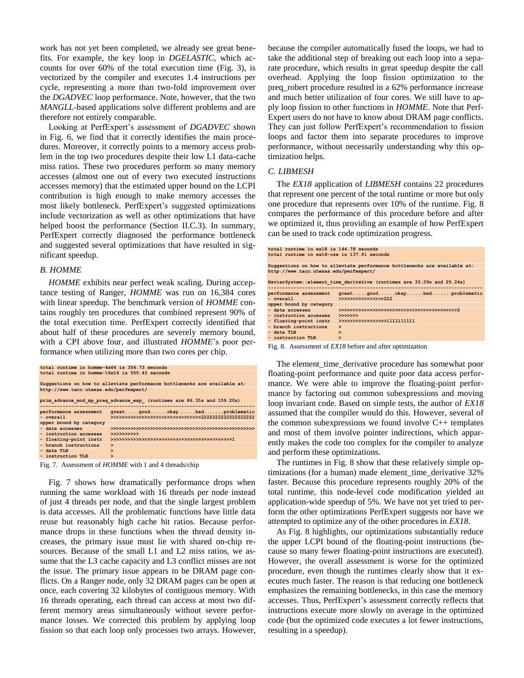work has not yet been completed, we already see great benefits. For example, the key loop in *DGELASTIC*, which accounts for over 60% of the total execution time [\(Fig.](#page-4-1) 3), is vectorized by the compiler and executes 1.4 instructions per cycle, representing a more than two-fold improvement over the *DGADVEC* loop performance. Note, however, that the two *MANGLL*-based applications solve different problems and are therefore not entirely comparable.

Looking at PerfExpert's assessment of *DGADVEC* shown in [Fig.](#page-6-1) 6, we find that it correctly identifies the main procedures. Moreover, it correctly points to a memory access problem in the top two procedures despite their low L1 data-cache miss ratios. These two procedures perform so many memory accesses (almost one out of every two executed instructions accesses memory) that the estimated upper bound on the LCPI contribution is high enough to make memory accesses the most likely bottleneck. PerfExpert's suggested optimizations include vectorization as well as other optimizations that have helped boost the performance (Section [II.C.3\)](#page-4-4). In summary, PerfExpert correctly diagnosed the performance bottleneck and suggested several optimizations that have resulted in significant speedup.

## *B. HOMME*

*HOMME* exhibits near perfect weak scaling. During acceptance testing of Ranger, *HOMME* was run on 16,384 cores with linear speedup. The benchmark version of *HOMME* contains roughly ten procedures that combined represent 90% of the total execution time. PerfExpert correctly identified that about half of these procedures are severely memory bound, with a CPI above four, and illustrated *HOMME*'s poor performance when utilizing more than two cores per chip.

| total runtime in homme- $4x64$ is $356.73$ seconds<br>total runtime in homme-16x16 is 555.43 seconds                |                                                                        |  |  |
|---------------------------------------------------------------------------------------------------------------------|------------------------------------------------------------------------|--|--|
| Suggestions on how to alleviate performance bottlenecks are available at:<br>http://www.tacc.utexas.edu/perfexpert/ |                                                                        |  |  |
|                                                                                                                     | prim advance mod mp preq advance exp (runtimes are 86.35s and 159.20s) |  |  |
| performance assessment<br>$-$ overall<br>upper bound by category<br>- data accesses                                 | greatgoodokaybadproblematic                                            |  |  |
| - instruction accesses<br>- floating-point instr<br>- branch instructions<br>$-$ data TLB                           | >>>>>>>>>>><br>$\geq$<br>$\geq$                                        |  |  |
| $-$ instruction TLB                                                                                                 | $\geq$                                                                 |  |  |

```
Fig. 7. Assessment of HOMME with 1 and 4 threads/chip
```
[Fig.](#page-7-1) 7 shows how dramatically performance drops when running the same workload with 16 threads per node instead of just 4 threads per node, and that the single largest problem is data accesses. All the problematic functions have little data reuse but reasonably high cache hit ratios. Because performance drops in these functions when the thread density increases, the primary issue must lie with shared on-chip resources. Because of the small L1 and L2 miss ratios, we assume that the L3 cache capacity and L3 conflict misses are not the issue. The primary issue appears to be DRAM page conflicts. On a Ranger node, only 32 DRAM pages can be open at once, each covering 32 kilobytes of contiguous memory. With 16 threads operating, each thread can access at most two different memory areas simultaneously without severe performance losses. We corrected this problem by applying loop fission so that each loop only processes two arrays. However,

because the compiler automatically fused the loops, we had to take the additional step of breaking out each loop into a separate procedure, which results in great speedup despite the call overhead. Applying the loop fission optimization to the preq\_robert procedure resulted in a 62% performance increase and much better utilization of four cores. We still have to apply loop fission to other functions in *HOMME*. Note that Perf-Expert users do not have to know about DRAM page conflicts. They can just follow PerfExpert's recommendation to fission loops and factor them into separate procedures to improve performance, without necessarily understanding why this optimization helps.

# <span id="page-7-0"></span>*C. LIBMESH*

The *EX18* application of *LIBMESH* contains 22 procedures that represent one percent of the total runtime or more but only one procedure that represents over 10% of the runtime. [Fig.](#page-7-2) 8 compares the performance of this procedure before and after we optimized it, thus providing an example of how PerfExpert can be used to track code optimization progress.

| total runtime in ex18 is 144.78 seconds                                                                             |                                                                    |  |
|---------------------------------------------------------------------------------------------------------------------|--------------------------------------------------------------------|--|
| total runtime in ex18-cse is 137.91 seconds                                                                         |                                                                    |  |
| Suggestions on how to alleviate performance bottlenecks are available at:<br>http://www.tacc.utexas.edu/perfexpert/ |                                                                    |  |
| NavierSystem:: element time derivative (runtimes are 33.29s and 25.24s)                                             |                                                                    |  |
| performance assessment<br>$ overall$<br>upper bound by category                                                     | greatgoodokaybadproblematic<br>>>>>>>>>>>>>>>>>>>222               |  |
| - data accesses                                                                                                     |                                                                    |  |
| - instruction accesses<br>- floating-point instr<br>- branch instructions<br>$-$ data TLB                           | > >> >> >> ><br>>>>>>>>>>>>>>>>>>>>11111111111<br>$\geq$<br>$\geq$ |  |
| $-$ instruction TLB                                                                                                 | $\geq$                                                             |  |

<span id="page-7-2"></span>Fig. 8. Assessment of *EX18* before and after optimization

The element time derivative procedure has somewhat poor floating-point performance and quite poor data access performance. We were able to improve the floating-point performance by factoring out common subexpressions and moving loop invariant code. Based on simple tests, the author of *EX18* assumed that the compiler would do this. However, several of the common subexpressions we found involve  $C_{++}$  templates and most of them involve pointer indirections, which apparently makes the code too complex for the compiler to analyze and perform these optimizations.

The runtimes in [Fig.](#page-7-2) 8 show that these relatively simple optimizations (for a human) made element time\_derivative 32% faster. Because this procedure represents roughly 20% of the total runtime, this node-level code modification yielded an application-wide speedup of 5%. We have not yet tried to perform the other optimizations PerfExpert suggests nor have we attempted to optimize any of the other procedures in *EX18*.

As [Fig.](#page-7-2) 8 highlights, our optimizations substantially reduce the upper LCPI bound of the floating-point instructions (because so many fewer floating-point instructions are executed). However, the overall assessment is worse for the optimized procedure, even though the runtimes clearly show that it executes much faster. The reason is that reducing one bottleneck emphasizes the remaining bottlenecks, in this case the memory accesses. Thus, PerfExpert's assessment correctly reflects that instructions execute more slowly on average in the optimized code (but the optimized code executes a lot fewer instructions, resulting in a speedup).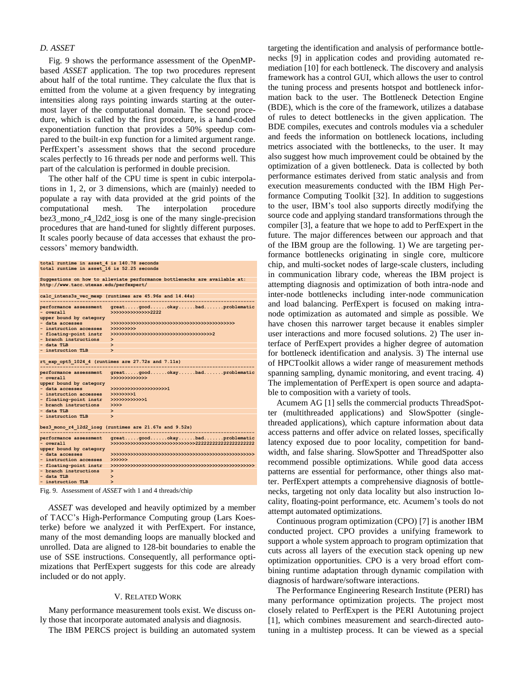## *D. ASSET*

[Fig.](#page-8-1) 9 shows the performance assessment of the OpenMPbased *ASSET* application. The top two procedures represent about half of the total runtime. They calculate the flux that is emitted from the volume at a given frequency by integrating intensities along rays pointing inwards starting at the outermost layer of the computational domain. The second procedure, which is called by the first procedure, is a hand-coded exponentiation function that provides a 50% speedup compared to the built-in exp function for a limited argument range. PerfExpert's assessment shows that the second procedure scales perfectly to 16 threads per node and performs well. This part of the calculation is performed in double precision.

The other half of the CPU time is spent in cubic interpolations in 1, 2, or 3 dimensions, which are (mainly) needed to populate a ray with data provided at the grid points of the computational mesh. The interpolation procedure bez3\_mono\_r4\_l2d2\_iosg is one of the many single-precision procedures that are hand-tuned for slightly different purposes. It scales poorly because of data accesses that exhaust the processors' memory bandwidth.

| total runtime in asset 4 is 140.78 seconds<br>total runtime in asset 16 is 52.25 seconds                            |                                                                                   |  |
|---------------------------------------------------------------------------------------------------------------------|-----------------------------------------------------------------------------------|--|
| Suggestions on how to alleviate performance bottlenecks are available at:<br>http://www.tacc.utexas.edu/perfexpert/ |                                                                                   |  |
| calc intens3s vec mexp (runtimes are 45.96s and 14.44s)<br>------------                                             |                                                                                   |  |
| performance assessment<br>- overall<br>upper bound by category                                                      | greatgoodokaybadproblematic<br>>>>>>>>>>>>>>>>2222                                |  |
| - data accesses                                                                                                     |                                                                                   |  |
| - instruction accesses<br>- floating-point instr                                                                    | > >> >> >> >><br>>>>>>>>>>>>>>>>>>>>>>>>>>>>>>>>>>>>>                             |  |
| - branch instructions                                                                                               | ≻                                                                                 |  |
| $-$ data TLB<br>- instruction TLB                                                                                   | $\rightarrow$<br>$\rightarrow$                                                    |  |
|                                                                                                                     |                                                                                   |  |
|                                                                                                                     | rt exp opt5 1024 4 (runtimes are 27.72s and 7.11s)                                |  |
| $ overa11$                                                                                                          | performance assessment qreatqoodokaybadproblematic<br>$> \> \> \> \> \> \> \> \>$ |  |
| upper bound by category<br>- data accesses                                                                          | >>>>>>>>>>>>>>>>>>>>>>                                                            |  |
| - instruction accesses                                                                                              | >>>>>>>>>1                                                                        |  |
| - floating-point instr                                                                                              | >>>>>>>>>>>>>1                                                                    |  |
| - branch instructions                                                                                               | > >> >                                                                            |  |
| - data TLB                                                                                                          | $\geq$                                                                            |  |
| - instruction TLB                                                                                                   | $\rightarrow$                                                                     |  |
| bez3 mono r4 12d2 iosg (runtimes are 21.67s and 9.52s)<br>-----------------------                                   |                                                                                   |  |
| performance assessment<br>$ overa11$                                                                                | greatgoodokaybadproblematic                                                       |  |
| upper bound by category                                                                                             |                                                                                   |  |
| $-$ data accesses                                                                                                   |                                                                                   |  |
| - instruction accesses<br>- floating-point instr                                                                    | > >> >> > >                                                                       |  |
| - branch instructions                                                                                               | $\rightarrow$                                                                     |  |
| $-$ data TLB                                                                                                        | ⋗                                                                                 |  |
| - instruction TLB                                                                                                   | $\rightarrow$                                                                     |  |
|                                                                                                                     |                                                                                   |  |

<span id="page-8-1"></span>Fig. 9. Assessment of *ASSET* with 1 and 4 threads/chip

*ASSET* was developed and heavily optimized by a member of TACC's High-Performance Computing group (Lars Koesterke) before we analyzed it with PerfExpert. For instance, many of the most demanding loops are manually blocked and unrolled. Data are aligned to 128-bit boundaries to enable the use of SSE instructions. Consequently, all performance optimizations that PerfExpert suggests for this code are already included or do not apply.

#### V. RELATED WORK

<span id="page-8-0"></span>Many performance measurement tools exist. We discuss only those that incorporate automated analysis and diagnosis.

The IBM PERCS project is building an automated system

targeting the identification and analysis of performance bottlenecks [\[9\]](#page-10-17) in application codes and providing automated remediatio[n \[10\]](#page-10-18) for each bottleneck. The discovery and analysis framework has a control GUI, which allows the user to control the tuning process and presents hotspot and bottleneck information back to the user. The Bottleneck Detection Engine (BDE), which is the core of the framework, utilizes a database of rules to detect bottlenecks in the given application. The BDE compiles, executes and controls modules via a scheduler and feeds the information on bottleneck locations, including metrics associated with the bottlenecks, to the user. It may also suggest how much improvement could be obtained by the optimization of a given bottleneck. Data is collected by both performance estimates derived from static analysis and from execution measurements conducted with the IBM High Performance Computing Toolkit [\[32\].](#page-10-19) In addition to suggestions to the user, IBM's tool also supports directly modifying the source code and applying standard transformations through the compiler [\[3\],](#page-10-20) a feature that we hope to add to PerfExpert in the future. The major differences between our approach and that of the IBM group are the following. 1) We are targeting performance bottlenecks originating in single core, multicore chip, and multi-socket nodes of large-scale clusters, including in communication library code, whereas the IBM project is attempting diagnosis and optimization of both intra-node and inter-node bottlenecks including inter-node communication and load balancing. PerfExpert is focused on making intranode optimization as automated and simple as possible. We have chosen this narrower target because it enables simpler user interactions and more focused solutions. 2) The user interface of PerfExpert provides a higher degree of automation for bottleneck identification and analysis. 3) The internal use of HPCToolkit allows a wider range of measurement methods spanning sampling, dynamic monitoring, and event tracing. 4) The implementation of PerfExpert is open source and adaptable to composition with a variety of tools.

Acumem AG [\[1\]](#page-10-21) sells the commercial products ThreadSpotter (multithreaded applications) and SlowSpotter (singlethreaded applications), which capture information about data access patterns and offer advice on related losses, specifically latency exposed due to poor locality, competition for bandwidth, and false sharing. SlowSpotter and ThreadSpotter also recommend possible optimizations. While good data access patterns are essential for performance, other things also matter. PerfExpert attempts a comprehensive diagnosis of bottlenecks, targeting not only data locality but also instruction locality, floating-point performance, etc. Acumem's tools do not attempt automated optimizations.

Continuous program optimization (CPO) [\[7\]](#page-10-22) is another IBM conducted project. CPO provides a unifying framework to support a whole system approach to program optimization that cuts across all layers of the execution stack opening up new optimization opportunities. CPO is a very broad effort combining runtime adaptation through dynamic compilation with diagnosis of hardware/software interactions.

The Performance Engineering Research Institute (PERI) has many performance optimization projects. The project most closely related to PerfExpert is the PERI Autotuning project [\[1\],](#page-10-21) which combines measurement and search-directed autotuning in a multistep process. It can be viewed as a special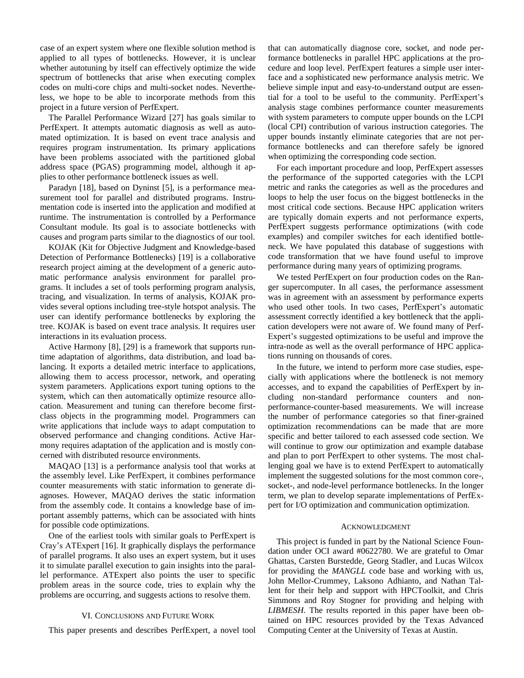case of an expert system where one flexible solution method is applied to all types of bottlenecks. However, it is unclear whether autotuning by itself can effectively optimize the wide spectrum of bottlenecks that arise when executing complex codes on multi-core chips and multi-socket nodes. Nevertheless, we hope to be able to incorporate methods from this project in a future version of PerfExpert.

The Parallel Performance Wizard [\[27\]](#page-10-23) has goals similar to PerfExpert. It attempts automatic diagnosis as well as automated optimization. It is based on event trace analysis and requires program instrumentation. Its primary applications have been problems associated with the partitioned global address space (PGAS) programming model, although it applies to other performance bottleneck issues as well.

Paradyn [\[18\],](#page-10-24) based on Dyninst [\[5\],](#page-10-25) is a performance measurement tool for parallel and distributed programs. Instrumentation code is inserted into the application and modified at runtime. The instrumentation is controlled by a Performance Consultant module. Its goal is to associate bottlenecks with causes and program parts similar to the diagnostics of our tool.

KOJAK (Kit for Objective Judgment and Knowledge-based Detection of Performance Bottlenecks) [\[19\]](#page-10-26) is a collaborative research project aiming at the development of a generic automatic performance analysis environment for parallel programs. It includes a set of tools performing program analysis, tracing, and visualization. In terms of analysis, KOJAK provides several options including tree-style hotspot analysis. The user can identify performance bottlenecks by exploring the tree. KOJAK is based on event trace analysis. It requires user interactions in its evaluation process.

Active Harmony [\[8\],](#page-10-27) [\[29\]](#page-10-28) is a framework that supports runtime adaptation of algorithms, data distribution, and load balancing. It exports a detailed metric interface to applications, allowing them to access processor, network, and operating system parameters. Applications export tuning options to the system, which can then automatically optimize resource allocation. Measurement and tuning can therefore become firstclass objects in the programming model. Programmers can write applications that include ways to adapt computation to observed performance and changing conditions. Active Harmony requires adaptation of the application and is mostly concerned with distributed resource environments.

MAQAO [\[13\]](#page-10-6) is a performance analysis tool that works at the assembly level. Like PerfExpert, it combines performance counter measurements with static information to generate diagnoses. However, MAQAO derives the static information from the assembly code. It contains a knowledge base of important assembly patterns, which can be associated with hints for possible code optimizations.

One of the earliest tools with similar goals to PerfExpert is Cray's ATExpert [\[16\].](#page-10-29) It graphically displays the performance of parallel programs. It also uses an expert system, but it uses it to simulate parallel execution to gain insights into the parallel performance. ATExpert also points the user to specific problem areas in the source code, tries to explain why the problems are occurring, and suggests actions to resolve them.

#### VI. CONCLUSIONS AND FUTURE WORK

<span id="page-9-0"></span>This paper presents and describes PerfExpert, a novel tool

that can automatically diagnose core, socket, and node performance bottlenecks in parallel HPC applications at the procedure and loop level. PerfExpert features a simple user interface and a sophisticated new performance analysis metric. We believe simple input and easy-to-understand output are essential for a tool to be useful to the community. PerfExpert's analysis stage combines performance counter measurements with system parameters to compute upper bounds on the LCPI (local CPI) contribution of various instruction categories. The upper bounds instantly eliminate categories that are not performance bottlenecks and can therefore safely be ignored when optimizing the corresponding code section.

For each important procedure and loop, PerfExpert assesses the performance of the supported categories with the LCPI metric and ranks the categories as well as the procedures and loops to help the user focus on the biggest bottlenecks in the most critical code sections. Because HPC application writers are typically domain experts and not performance experts, PerfExpert suggests performance optimizations (with code examples) and compiler switches for each identified bottleneck. We have populated this database of suggestions with code transformation that we have found useful to improve performance during many years of optimizing programs.

We tested PerfExpert on four production codes on the Ranger supercomputer. In all cases, the performance assessment was in agreement with an assessment by performance experts who used other tools. In two cases, PerfExpert's automatic assessment correctly identified a key bottleneck that the application developers were not aware of. We found many of Perf-Expert's suggested optimizations to be useful and improve the intra-node as well as the overall performance of HPC applications running on thousands of cores.

In the future, we intend to perform more case studies, especially with applications where the bottleneck is not memory accesses, and to expand the capabilities of PerfExpert by including non-standard performance counters and nonperformance-counter-based measurements. We will increase the number of performance categories so that finer-grained optimization recommendations can be made that are more specific and better tailored to each assessed code section. We will continue to grow our optimization and example database and plan to port PerfExpert to other systems. The most challenging goal we have is to extend PerfExpert to automatically implement the suggested solutions for the most common core-, socket-, and node-level performance bottlenecks. In the longer term, we plan to develop separate implementations of PerfExpert for I/O optimization and communication optimization.

#### ACKNOWLEDGMENT

This project is funded in part by the National Science Foundation under OCI award #0622780. We are grateful to Omar Ghattas, Carsten Burstedde, Georg Stadler, and Lucas Wilcox for providing the *MANGLL* code base and working with us, John Mellor-Crummey, Laksono Adhianto, and Nathan Tallent for their help and support with HPCToolkit, and Chris Simmons and Roy Stogner for providing and helping with *LIBMESH*. The results reported in this paper have been obtained on HPC resources provided by the Texas Advanced Computing Center at the University of Texas at Austin.